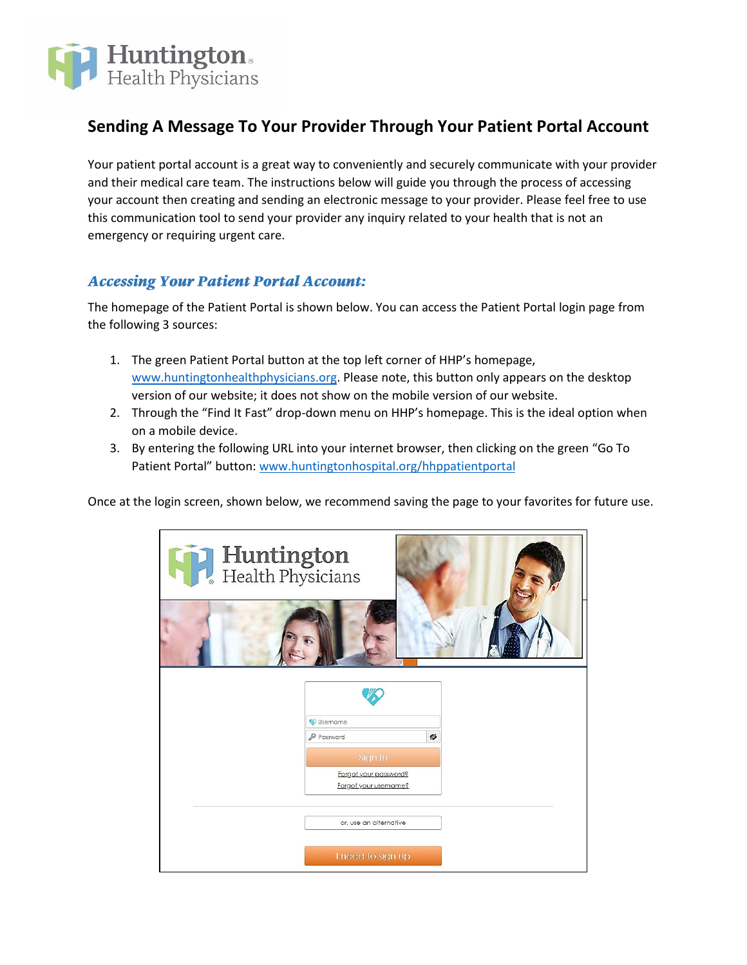

## **Sending A Message To Your Provider Through Your Patient Portal Account**

Your patient portal account is a great way to conveniently and securely communicate with your provider and their medical care team. The instructions below will guide you through the process of accessing your account then creating and sending an electronic message to your provider. Please feel free to use this communication tool to send your provider any inquiry related to your health that is not an emergency or requiring urgent care.

## **Accessing Your Patient Portal Account:**

The homepage of the Patient Portal is shown below. You can access the Patient Portal login page from the following 3 sources:

- 1. The green Patient Portal button at the top left corner of HHP's homepage, [www.huntingtonhealthphysicians.org.](http://www.huntingtonhealthphysicians.org/) Please note, this button only appears on the desktop version of our website; it does not show on the mobile version of our website.
- 2. Through the "Find It Fast" drop-down menu on HHP's homepage. This is the ideal option when on a mobile device.
- 3. By entering the following URL into your internet browser, then clicking on the green "Go To Patient Portal" button[: www.huntingtonhospital.org/hhppatientportal](http://www.huntingtonhospital.org/hhppatientportal)

Once at the login screen, shown below, we recommend saving the page to your favorites for future use.

| Huntington<br>Health Physicians |                                                           |   |  |
|---------------------------------|-----------------------------------------------------------|---|--|
|                                 | Username<br>P Password                                    | ø |  |
|                                 | Sign In<br>Forgot your password?<br>Forgot your username? |   |  |
|                                 | or, use an alternative<br>I need to sign up               |   |  |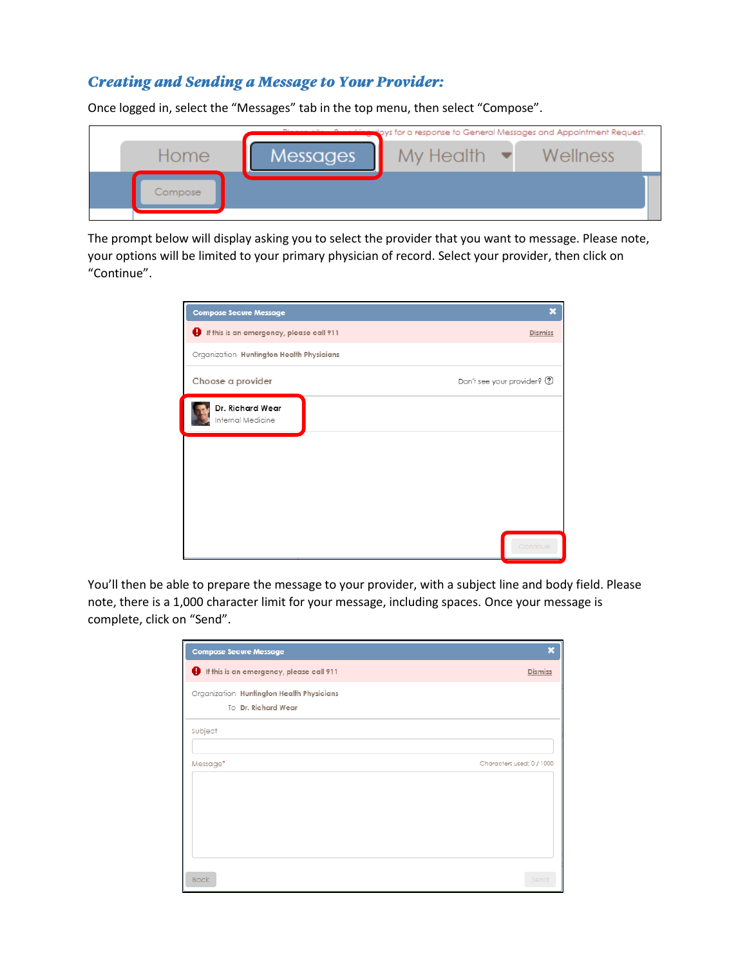## **Creating and Sending a Message to Your Provider:**

Once logged in, select the "Messages" tab in the top menu, then select "Compose".

| <b>Multiman</b> lays for a response to General Messages and Appointment Request. |                 |           |          |  |
|----------------------------------------------------------------------------------|-----------------|-----------|----------|--|
| Home                                                                             | <b>Messages</b> | My Health | Wellness |  |
| Compose                                                                          |                 |           |          |  |
|                                                                                  |                 |           |          |  |

The prompt below will display asking you to select the provider that you want to message. Please note, your options will be limited to your primary physician of record. Select your provider, then click on "Continue".

| <b>Compose Secure Message</b>             | ×                            |  |  |  |
|-------------------------------------------|------------------------------|--|--|--|
| If this is an emergency, please call 911  | Dismiss                      |  |  |  |
| Organization Huntington Health Physicians |                              |  |  |  |
| Choose a provider                         | Don't see your provider? (?) |  |  |  |
| Dr. Richard Wear<br>Internal Medicine     |                              |  |  |  |
|                                           |                              |  |  |  |
|                                           |                              |  |  |  |
|                                           |                              |  |  |  |
|                                           |                              |  |  |  |
|                                           | Continue                     |  |  |  |

You'll then be able to prepare the message to your provider, with a subject line and body field. Please note, there is a 1,000 character limit for your message, including spaces. Once your message is complete, click on "Send".

| <b>Compose Secure Message</b>                                    | X                         |
|------------------------------------------------------------------|---------------------------|
| If this is an emergency, please call 911                         | <b>Dismiss</b>            |
| Organization Huntington Health Physicians<br>To Dr. Richard Wear |                           |
| Subject                                                          |                           |
| Message*                                                         | Characters used: 0 / 1000 |
|                                                                  |                           |
|                                                                  |                           |
|                                                                  |                           |
| <b>Back</b>                                                      | Send                      |